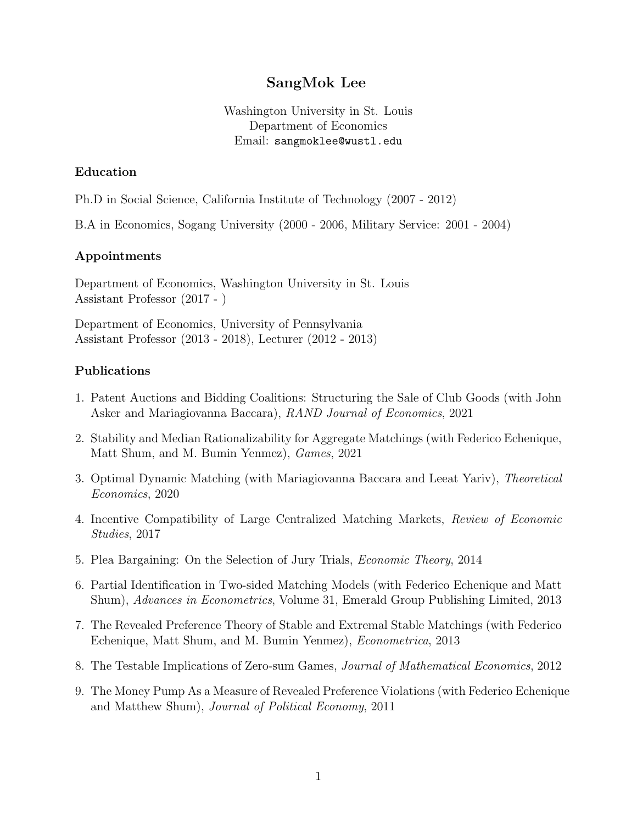# SangMok Lee

Washington University in St. Louis Department of Economics Email: sangmoklee@wustl.edu

### Education

Ph.D in Social Science, California Institute of Technology (2007 - 2012)

B.A in Economics, Sogang University (2000 - 2006, Military Service: 2001 - 2004)

### Appointments

Department of Economics, Washington University in St. Louis Assistant Professor (2017 - )

Department of Economics, University of Pennsylvania Assistant Professor (2013 - 2018), Lecturer (2012 - 2013)

#### Publications

- 1. Patent Auctions and Bidding Coalitions: Structuring the Sale of Club Goods (with John Asker and Mariagiovanna Baccara), RAND Journal of Economics, 2021
- 2. Stability and Median Rationalizability for Aggregate Matchings (with Federico Echenique, Matt Shum, and M. Bumin Yenmez), Games, 2021
- 3. Optimal Dynamic Matching (with Mariagiovanna Baccara and Leeat Yariv), Theoretical Economics, 2020
- 4. Incentive Compatibility of Large Centralized Matching Markets, Review of Economic Studies, 2017
- 5. Plea Bargaining: On the Selection of Jury Trials, Economic Theory, 2014
- 6. Partial Identification in Two-sided Matching Models (with Federico Echenique and Matt Shum), Advances in Econometrics, Volume 31, Emerald Group Publishing Limited, 2013
- 7. The Revealed Preference Theory of Stable and Extremal Stable Matchings (with Federico Echenique, Matt Shum, and M. Bumin Yenmez), Econometrica, 2013
- 8. The Testable Implications of Zero-sum Games, Journal of Mathematical Economics, 2012
- 9. The Money Pump As a Measure of Revealed Preference Violations (with Federico Echenique and Matthew Shum), Journal of Political Economy, 2011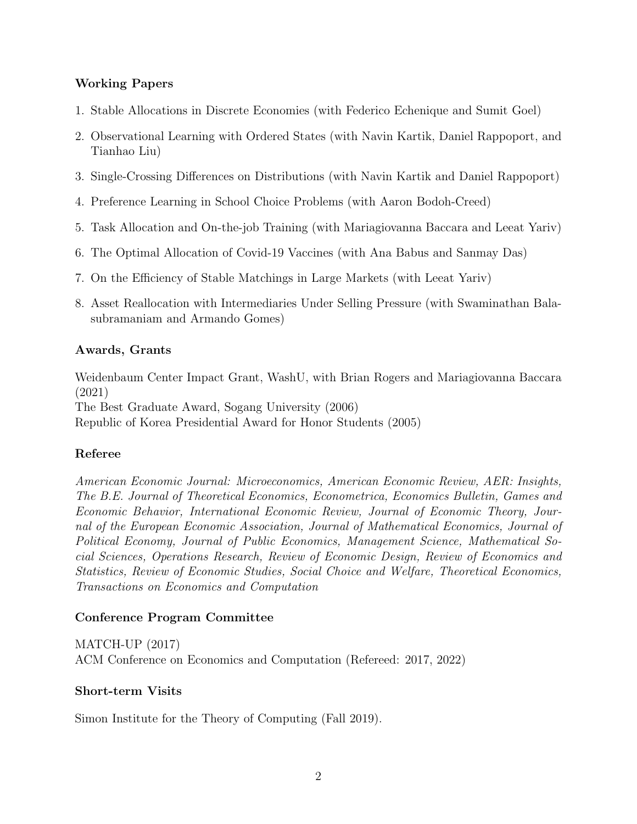## Working Papers

- 1. Stable Allocations in Discrete Economies (with Federico Echenique and Sumit Goel)
- 2. Observational Learning with Ordered States (with Navin Kartik, Daniel Rappoport, and Tianhao Liu)
- 3. Single-Crossing Differences on Distributions (with Navin Kartik and Daniel Rappoport)
- 4. Preference Learning in School Choice Problems (with Aaron Bodoh-Creed)
- 5. Task Allocation and On-the-job Training (with Mariagiovanna Baccara and Leeat Yariv)
- 6. The Optimal Allocation of Covid-19 Vaccines (with Ana Babus and Sanmay Das)
- 7. On the Efficiency of Stable Matchings in Large Markets (with Leeat Yariv)
- 8. Asset Reallocation with Intermediaries Under Selling Pressure (with Swaminathan Balasubramaniam and Armando Gomes)

### Awards, Grants

Weidenbaum Center Impact Grant, WashU, with Brian Rogers and Mariagiovanna Baccara (2021) The Best Graduate Award, Sogang University (2006) Republic of Korea Presidential Award for Honor Students (2005)

## Referee

American Economic Journal: Microeconomics, American Economic Review, AER: Insights, The B.E. Journal of Theoretical Economics, Econometrica, Economics Bulletin, Games and Economic Behavior, International Economic Review, Journal of Economic Theory, Journal of the European Economic Association, Journal of Mathematical Economics, Journal of Political Economy, Journal of Public Economics, Management Science, Mathematical Social Sciences, Operations Research, Review of Economic Design, Review of Economics and Statistics, Review of Economic Studies, Social Choice and Welfare, Theoretical Economics, Transactions on Economics and Computation

## Conference Program Committee

MATCH-UP (2017) ACM Conference on Economics and Computation (Refereed: 2017, 2022)

### Short-term Visits

Simon Institute for the Theory of Computing (Fall 2019).